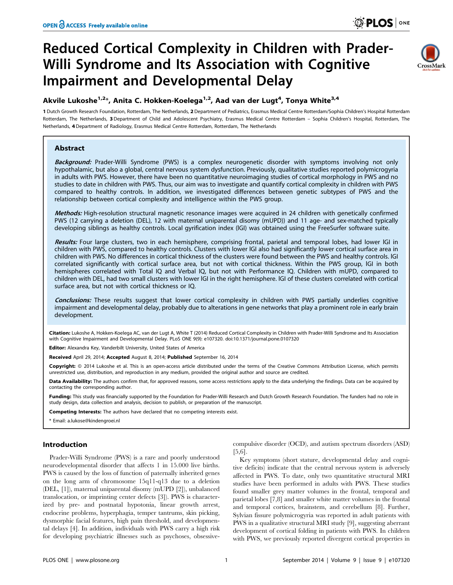# Reduced Cortical Complexity in Children with Prader-Willi Syndrome and Its Association with Cognitive Impairment and Developmental Delay



## Akvile Lukoshe<sup>1,2</sup>\*, Anita C. Hokken-Koelega<sup>1,2</sup>, Aad van der Lugt<sup>4</sup>, Tonya White<sup>3,4</sup>

1 Dutch Growth Research Foundation, Rotterdam, The Netherlands, 2 Department of Pediatrics, Erasmus Medical Centre Rotterdam/Sophia Children's Hospital Rotterdam Rotterdam, The Netherlands, 3 Department of Child and Adolescent Psychiatry, Erasmus Medical Centre Rotterdam – Sophia Children's Hospital, Rotterdam, The Netherlands, 4 Department of Radiology, Erasmus Medical Centre Rotterdam, Rotterdam, The Netherlands

## Abstract

Background: Prader-Willi Syndrome (PWS) is a complex neurogenetic disorder with symptoms involving not only hypothalamic, but also a global, central nervous system dysfunction. Previously, qualitative studies reported polymicrogyria in adults with PWS. However, there have been no quantitative neuroimaging studies of cortical morphology in PWS and no studies to date in children with PWS. Thus, our aim was to investigate and quantify cortical complexity in children with PWS compared to healthy controls. In addition, we investigated differences between genetic subtypes of PWS and the relationship between cortical complexity and intelligence within the PWS group.

Methods: High-resolution structural magnetic resonance images were acquired in 24 children with genetically confirmed PWS (12 carrying a deletion (DEL), 12 with maternal uniparental disomy (mUPD)) and 11 age- and sex-matched typically developing siblings as healthy controls. Local gyrification index (lGI) was obtained using the FreeSurfer software suite.

Results: Four large clusters, two in each hemisphere, comprising frontal, parietal and temporal lobes, had lower IGI in children with PWS, compared to healthy controls. Clusters with lower lGI also had significantly lower cortical surface area in children with PWS. No differences in cortical thickness of the clusters were found between the PWS and healthy controls. lGI correlated significantly with cortical surface area, but not with cortical thickness. Within the PWS group, lGI in both hemispheres correlated with Total IQ and Verbal IQ, but not with Performance IQ. Children with mUPD, compared to children with DEL, had two small clusters with lower lGI in the right hemisphere. lGI of these clusters correlated with cortical surface area, but not with cortical thickness or IQ.

Conclusions: These results suggest that lower cortical complexity in children with PWS partially underlies cognitive impairment and developmental delay, probably due to alterations in gene networks that play a prominent role in early brain development.

Citation: Lukoshe A, Hokken-Koelega AC, van der Lugt A, White T (2014) Reduced Cortical Complexity in Children with Prader-Willi Syndrome and Its Association with Cognitive Impairment and Developmental Delay. PLoS ONE 9(9): e107320. doi:10.1371/journal.pone.0107320

Editor: Alexandra Key, Vanderbilt University, United States of America

Received April 29, 2014; Accepted August 8, 2014; Published September 16, 2014

Copyright: © 2014 Lukoshe et al. This is an open-access article distributed under the terms of the [Creative Commons Attribution License,](http://creativecommons.org/licenses/by/4.0/) which permits unrestricted use, distribution, and reproduction in any medium, provided the original author and source are credited.

Data Availability: The authors confirm that, for approved reasons, some access restrictions apply to the data underlying the findings. Data can be acquired by contacting the corresponding author.

Funding: This study was financially supported by the Foundation for Prader-Willi Research and Dutch Growth Research Foundation. The funders had no role in study design, data collection and analysis, decision to publish, or preparation of the manuscript.

Competing Interests: The authors have declared that no competing interests exist.

\* Email: a.lukose@kindengroei.nl

## Introduction

Prader-Willi Syndrome (PWS) is a rare and poorly understood neurodevelopmental disorder that affects 1 in 15.000 live births. PWS is caused by the loss of function of paternally inherited genes on the long arm of chromosome 15q11-q13 due to a deletion (DEL, [1]), maternal uniparental disomy (mUPD [2]), unbalanced translocation, or imprinting center defects [3]). PWS is characterized by pre- and postnatal hypotonia, linear growth arrest, endocrine problems, hyperphagia, temper tantrums, skin picking, dysmorphic facial features, high pain threshold, and developmental delays [4]. In addition, individuals with PWS carry a high risk for developing psychiatric illnesses such as psychoses, obsessivecompulsive disorder (OCD), and autism spectrum disorders (ASD) [5,6].

Key symptoms (short stature, developmental delay and cognitive deficits) indicate that the central nervous system is adversely affected in PWS. To date, only two quantitative structural MRI studies have been performed in adults with PWS. These studies found smaller grey matter volumes in the frontal, temporal and parietal lobes [7,8] and smaller white matter volumes in the frontal and temporal cortices, brainstem, and cerebellum [8]. Further, Sylvian fissure polymicrogyria was reported in adult patients with PWS in a qualitative structural MRI study [9], suggesting aberrant development of cortical folding in patients with PWS. In children with PWS, we previously reported divergent cortical properties in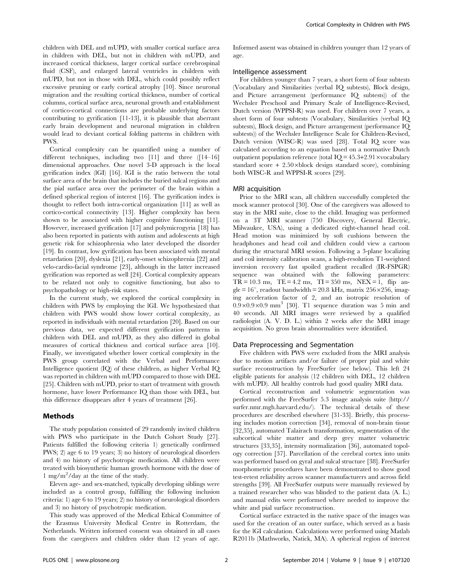children with DEL and mUPD, with smaller cortical surface area in children with DEL, but not in children with mUPD, and increased cortical thickness, larger cortical surface cerebrospinal fluid (CSF), and enlarged lateral ventricles in children with mUPD, but not in those with DEL, which could possibly reflect excessive pruning or early cortical atrophy [10]. Since neuronal migration and the resulting cortical thickness, number of cortical columns, cortical surface area, neuronal growth and establishment of cortico-cortical connections are probable underlying factors contributing to gyrification [11-13], it is plausible that aberrant early brain development and neuronal migration in children would lead to deviant cortical folding patterns in children with PWS.

Cortical complexity can be quantified using a number of different techniques, including two [11] and three ([14–16] dimensional approaches. One novel 3-D approach is the local gyrification index (lGI) [16]. lGI is the ratio between the total surface area of the brain that includes the buried sulcal regions and the pial surface area over the perimeter of the brain within a defined spherical region of interest [16]. The gyrification index is thought to reflect both intra-cortical organization [11] as well as cortico-cortical connectivity [13]. Higher complexity has been shown to be associated with higher cognitive functioning [11]. However, increased gyrification [17] and polymicrogyria [18] has also been reported in patients with autism and adolescents at high genetic risk for schizophrenia who later developed the disorder [19]. In contrast, low gyrification has been associated with mental retardation [20], dyslexia [21], early-onset schizophrenia [22] and velo-cardio-facial syndrome [23], although in the latter increased gyrification was reported as well [24]. Cortical complexity appears to be related not only to cognitive functioning, but also to psychopathology or high-risk states.

In the current study, we explored the cortical complexity in children with PWS by employing the lGI. We hypothesized that children with PWS would show lower cortical complexity, as reported in individuals with mental retardation [20]. Based on our previous data, we expected different gyrification patterns in children with DEL and mUPD, as they also differed in global measures of cortical thickness and cortical surface area [10]. Finally, we investigated whether lower cortical complexity in the PWS group correlated with the Verbal and Performance Intelligence quotient (IQ) of these children, as higher Verbal IQ was reported in children with mUPD compared to those with DEL [25]. Children with mUPD, prior to start of treatment with growth hormone, have lower Performance IQ than those with DEL, but this difference disappears after 4 years of treatment [26].

#### Methods

The study population consisted of 29 randomly invited children with PWS who participate in the Dutch Cohort Study [27]. Patients fulfilled the following criteria 1) genetically confirmed PWS; 2) age 6 to 19 years; 3) no history of neurological disorders and 4) no history of psychotropic medication. All children were treated with biosynthetic human growth hormone with the dose of 1 mg/m<sup>2</sup> /day at the time of the study.

Eleven age- and sex-matched, typically developing siblings were included as a control group, fulfilling the following inclusion criteria: 1) age 6 to 19 years; 2) no history of neurological disorders and 3) no history of psychotropic medication.

This study was approved of the Medical Ethical Committee of the Erasmus University Medical Centre in Rotterdam, the Netherlands. Written informed consent was obtained in all cases from the caregivers and children older than 12 years of age.

Informed assent was obtained in children younger than 12 years of age.

#### Intelligence assessment

For children younger than 7 years, a short form of four subtests (Vocabulary and Similarities (verbal IQ subtests), Block design, and Picture arrangement (performance IQ subtests)) of the Wechsler Preschool and Primary Scale of Intelligence-Revised, Dutch version (WPPSI-R) was used. For children over 7 years, a short form of four subtests (Vocabulary, Similarities (verbal IQ subtests), Block design, and Picture arrangement (performance IQ subtests)) of the Wechsler Intelligence Scale for Children-Revised, Dutch version (WISC-R) was used [28]. Total IQ score was calculated according to an equation based on a normative Dutch outpatient population reference (total  $IQ = 45.3+2.91$  xvocabulary standard score +  $2.50 \times$ block design standard score), combining both WISC-R and WPPSI-R scores [29].

#### MRI acquisition

Prior to the MRI scan, all children successfully completed the mock scanner protocol [30]. One of the caregivers was allowed to stay in the MRI suite, close to the child. Imaging was performed on a 3T MRI scanner (750 Discovery, General Electric, Milwaukee, USA), using a dedicated eight-channel head coil. Head motion was minimized by soft cushions between the headphones and head coil and children could view a cartoon during the structural MRI session. Following a 3-plane localizing and coil intensity calibration scans, a high-resolution T1-weighted inversion recovery fast spoiled gradient recalled (IR-FSPGR) sequence was obtained with the following parameters:  $TR = 10.3$  ms,  $TE = 4.2$  ms,  $TI = 350$  ms,  $NEX = 1$ , flip angle =  $16^\circ$ , readout bandwidth = 20.8 kHz, matrix 256×256, imaging acceleration factor of 2, and an isotropic resolution of  $0.9\times0.9\times0.9$  mm<sup>3</sup> [30]. T1 sequence duration was 5 min and 40 seconds. All MRI images were reviewed by a qualified radiologist (A. V. D. L.) within 2 weeks after the MRI image acquisition. No gross brain abnormalities were identified.

#### Data Preprocessing and Segmentation

Five children with PWS were excluded from the MRI analysis due to motion artifacts and/or failure of proper pial and white surface reconstruction by FreeSurfer (see below). This left 24 eligible patients for analysis (12 children with DEL, 12 children with mUPD). All healthy controls had good quality MRI data.

Cortical reconstruction and volumetric segmentation was performed with the FreeSurfer 5.3 image analysis suite ([http://](http://surfer.nmr.mgh.harvard.edu/) [surfer.nmr.mgh.harvard.edu/](http://surfer.nmr.mgh.harvard.edu/)). The technical details of these procedures are described elsewhere [31-33]. Briefly, this processing includes motion correction [34], removal of non-brain tissue [32,35], automated Talairach transformation, segmentation of the subcortical white matter and deep grey matter volumetric structures [33,35], intensity normalization [36], automated topology correction [37]. Parcellation of the cerebral cortex into units was performed based on gyral and sulcal structure [38]. FreeSurfer morphometric procedures have been demonstrated to show good test-retest reliability across scanner manufacturers and across field strengths [39]. All FreeSurfer outputs were manually reviewed by a trained researcher who was blinded to the patient data (A. L.) and manual edits were performed where needed to improve the white and pial surface reconstruction.

Cortical surface extracted in the native space of the images was used for the creation of an outer surface, which served as a basis for the lGI calculation. Calculations were performed using Matlab R2011b (Mathworks, Natick, MA). A spherical region of interest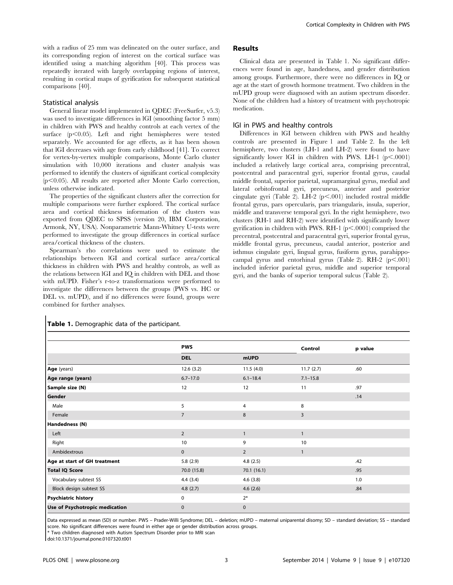with a radius of 25 mm was delineated on the outer surface, and its corresponding region of interest on the cortical surface was identified using a matching algorithm [40]. This process was repeatedly iterated with largely overlapping regions of interest, resulting in cortical maps of gyrification for subsequent statistical comparisons [40].

#### Statistical analysis

General linear model implemented in QDEC (FreeSurfer, v5.3) was used to investigate differences in lGI (smoothing factor 5 mm) in children with PWS and healthy controls at each vertex of the surface  $(p<0.05)$ . Left and right hemispheres were tested separately. We accounted for age effects, as it has been shown that lGI decreases with age from early childhood [41]. To correct for vertex-by-vertex multiple comparisons, Monte Carlo cluster simulation with 10,000 iterations and cluster analysis was performed to identify the clusters of significant cortical complexity  $(p<0.05)$ . All results are reported after Monte Carlo correction, unless otherwise indicated.

The properties of the significant clusters after the correction for multiple comparisons were further explored. The cortical surface area and cortical thickness information of the clusters was exported from QDEC to SPSS (version 20, IBM Corporation, Armonk, NY, USA). Nonparametric Mann-Whitney U-tests were performed to investigate the group differences in cortical surface area/cortical thickness of the clusters.

Spearman's rho correlations were used to estimate the relationships between lGI and cortical surface area/cortical thickness in children with PWS and healthy controls, as well as the relations between lGI and IQ in children with DEL and those with mUPD. Fisher's r-to-z transformations were performed to investigate the differences between the groups (PWS vs. HC or DEL vs. mUPD), and if no differences were found, groups were combined for further analyses.

## Results

Clinical data are presented in Table 1. No significant differences were found in age, handedness, and gender distribution among groups. Furthermore, there were no differences in IQ or age at the start of growth hormone treatment. Two children in the mUPD group were diagnosed with an autism spectrum disorder. None of the children had a history of treatment with psychotropic medication.

#### lGI in PWS and healthy controls

Differences in lGI between children with PWS and healthy controls are presented in Figure 1 and Table 2. In the left hemisphere, two clusters (LH-1 and LH-2) were found to have significantly lower lGI in children with PWS. LH-1 ( $p<.0001$ ) included a relatively large cortical area, comprising precentral, postcentral and paracentral gyri, superior frontal gyrus, caudal middle frontal, superior parietal, supramarginal gyrus, medial and lateral orbitofrontal gyri, precuneus, anterior and posterior cingulate gyri (Table 2). LH-2  $(p<.001)$  included rostral middle frontal gyrus, pars opercularis, pars triangularis, insula, superior, middle and transverse temporal gyri. In the right hemisphere, two clusters (RH-1 and RH-2) were identified with significantly lower gyrification in children with PWS. RH-1  $(p<.0001)$  comprised the precentral, postcentral and paracentral gyri, superior frontal gyrus, middle frontal gyrus, precuneus, caudal anterior, posterior and isthmus cingulate gyri, lingual gyrus, fusiform gyrus, parahippocampal gyrus and entorhinal gyrus (Table 2). RH-2  $(p<.001)$ included inferior parietal gyrus, middle and superior temporal gyri, and the banks of superior temporal sulcus (Table 2).

|                                | <b>PWS</b>     |                | Control      | p value |
|--------------------------------|----------------|----------------|--------------|---------|
|                                | <b>DEL</b>     | mUPD           |              |         |
| Age (years)                    | 12.6(3.2)      | 11.5(4.0)      | 11.7(2.7)    | .60     |
| Age range (years)              | $6.7 - 17.0$   | $6.1 - 18.4$   | $7.1 - 15.8$ |         |
| Sample size (N)                | 12             | 12             | 11           | .97     |
| Gender                         |                |                |              | .14     |
| Male                           | 5              | 4              | 8            |         |
| Female                         | $\overline{7}$ | 8              | 3            |         |
| Handedness (N)                 |                |                |              |         |
| Left                           | $\overline{2}$ | $\mathbf{1}$   | $\mathbf{1}$ |         |
| Right                          | 10             | 9              | 10           |         |
| Ambidextrous                   | $\mathbf 0$    | $\overline{2}$ | $\mathbf{1}$ |         |
| Age at start of GH treatment   | 5.8(2.9)       | 4.8(2.5)       |              | .42     |
| <b>Total IQ Score</b>          | 70.0 (15.8)    | 70.1(16.1)     |              | .95     |
| Vocabulary subtest SS          | 4.4(3.4)       | 4.6(3.8)       |              | 1.0     |
| Block design subtest SS        | 4.8(2.7)       | 4.6(2.6)       |              | .84     |
| <b>Psychiatric history</b>     | 0              | $2^*$          |              |         |
| Use of Psychotropic medication | $\mathbf 0$    | $\mathbf{0}$   |              |         |

#### Table 1. Demographic data of the participant.

Data expressed as mean (SD) or number. PWS – Prader-Willi Syndrome; DEL – deletion; mUPD – maternal uniparental disomy; SD – standard deviation; SS – standard score. No significant differences were found in either age or gender distribution across groups.

\* Two children diagnosed with Autism Spectrum Disorder prior to MRI scan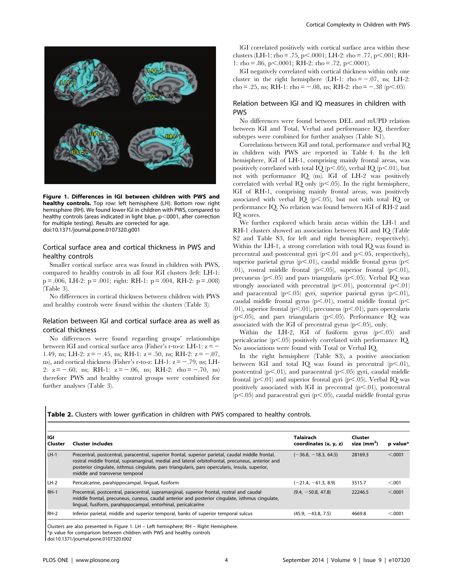

Figure 1. Differences in lGI between children with PWS and healthy controls. Top row: left hemisphere (LH). Bottom row: right hemisphere (RH). We found lower lGI in children with PWS, compared to healthy controls (areas indicated in light blue,  $p<$ 0001, after correction for multiple testing). Results are corrected for age. doi:10.1371/journal.pone.0107320.g001

## Cortical surface area and cortical thickness in PWS and healthy controls

Smaller cortical surface area was found in children with PWS, compared to healthy controls in all four lGI clusters (left: LH-1:  $p = .006$ , LH-2:  $p = .001$ ; right: RH-1:  $p = .004$ , RH-2:  $p = .008$ ) (Table 3).

No differences in cortical thickness between children with PWS and healthy controls were found within the clusters (Table 3).

## Relation between lGI and cortical surface area as well as cortical thickness

No differences were found regarding groups' relationships between IGI and cortical surface area (Fisher's r-to-z: LH-1:  $z = -$ 1.49, ns; LH-2:  $z = -.45$ , ns; RH-1:  $z = .50$ , ns; RH-2:  $z = -.07$ , ns), and cortical thickness (Fisher's r-to-z: LH-1:  $z = -0.79$ , ns; LH-2:  $z = -.60$ , ns; RH-1:  $z = -.06$ , ns; RH-2: rho = -.70, ns) therefore PWS and healthy control groups were combined for further analyses (Table 3).

lGI correlated positively with cortical surface area within these clusters (LH-1: rho = .75, p $\leq$ .0001; LH-2: rho = .77, p $\leq$ .001; RH-1: rho = .86, p $\leq$ .0001; RH-2: rho = .72, p $\leq$ .0001).

lGI negatively correlated with cortical thickness within only one cluster in the right hemisphere (LH-1:  $rho = -0.07$ , ns; LH-2: rho = .25, ns; RH-1: rho =  $-.08$ , ns; RH-2: rho =  $-.38$  (p $< .05$ )

## Relation between lGI and IQ measures in children with PWS

No differences were found between DEL and mUPD relation between lGI and Total, Verbal and performance IQ, therefore subtypes were combined for further analyses (Table S1).

Correlations between lGI and total, performance and verbal IQ in children with PWS are reported in Table 4. In the left hemisphere, lGI of LH-1, comprising mainly frontal areas, was positively correlated with total IQ (p<.05), verbal IQ (p<.01), but not with performance IQ (ns). lGI of LH-2 was positively correlated with verbal IQ only  $(p<.05)$ . In the right hemisphere, lGI of RH-1, comprising mainly frontal areas, was positively associated with verbal IQ  $(p<.05)$ , but not with total IQ or performance IQ. No relation was found between lGI of RH-2 and IQ scores.

We further explored which brain areas within the LH-1 and RH-1 clusters showed an association between lGI and IQ (Table S2 and Table S3, for left and right hemisphere, respectively). Within the LH-1, a strong correlation with total IQ was found in precentral and postcentral gyri  $(p<.01$  and  $p<.05$ , respectively), superior parietal gyrus (p $\leq$ .01), caudal middle frontal gyrus (p $\leq$ .01), rostral middle frontal  $(p<.05)$ , superior frontal  $(p<.01)$ , precuneus (p<.05) and pars triangularis (p<.05). Verbal IQ was strongly associated with precentral (p $\leq$ .01), postcentral (p $\leq$ .01) and paracentral (p<.05) gyri, superior parietal gyrus (p<.01), caudal middle frontal gyrus (p $\leq$ .01), rostral middle frontal (p $\leq$ .01), superior frontal ( $p<.01$ ), precuneus ( $p<.01$ ), pars opercularis ( $p$ <.05), and pars triangularis ( $p$ <.05). Performance IQ was associated with the lGI of precentral gyrus  $(p<.05)$ , only.

Within the LH-2, lGI of fusiform gyrus  $(p<.05)$  and pericalcarine ( $p<.05$ ) positively correlated with performance IQ. No associations were found with Total or Verbal IQ.

In the right hemisphere (Table S3), a positive association between IGI and total IQ was found in precentral  $(p<.01)$ , postcentral ( $p<.01$ ), and paracentral ( $p<.05$ ) gyri, caudal middle frontal (p $\leq$ .01) and superior frontal gyri (p $\leq$ .05). Verbal IQ was positively associated with IGI in precentral  $(p<.01)$ , postcentral  $(p<.05)$  and paracentral gyri  $(p<.05)$ , caudal middle frontal gyrus

Table 2. Clusters with lower gyrification in children with PWS compared to healthy controls.

| lGI<br>  Cluster | <b>Cluster includes</b>                                                                                                                                                                                                                                                                                                                   | <b>Talairach</b><br>coordinates (x, y, z) | Cluster<br>size $(mm2)$ | p value* |
|------------------|-------------------------------------------------------------------------------------------------------------------------------------------------------------------------------------------------------------------------------------------------------------------------------------------------------------------------------------------|-------------------------------------------|-------------------------|----------|
| $LH-1$           | Precentral, postcentral, paracentral, superior frontal, superior parietal, caudal middle frontal,<br>rostral middle frontal, supramarginal, medial and lateral orbitofrontal, precuneus, anterior and<br>posterior cinquiate, isthmus cinquiate, pars trianquiaris, pars opercularis, insula, superior,<br>middle and transverse temporal | $(-36.8, -18.3, 64.5)$                    | 28169.3                 | < .0001  |
| LH-2             | Pericalcarine, parahippocampal, lingual, fusiform                                                                                                                                                                                                                                                                                         | $(-21.4, -61.3, 8.9)$                     | 3515.7                  | < 0.001  |
| RH-1             | Precentral, postcentral, paracentral, supramarginal, superior frontal, rostral and caudal<br>middle frontal, precuneus, cuneus, caudal anterior and posterior cingulate, isthmus cingulate,<br>lingual, fusiform, parahippocampal, entorhinal, pericalcarine                                                                              | $(9.4, -50.8, 47.8)$                      | 22246.5                 | < .0001  |
| RH-2             | Inferior parietal, middle and superior temporal, banks of superior temporal sulcus                                                                                                                                                                                                                                                        | $(45.9, -43.8, 7.5)$                      | 4669.8                  | < 0.0001 |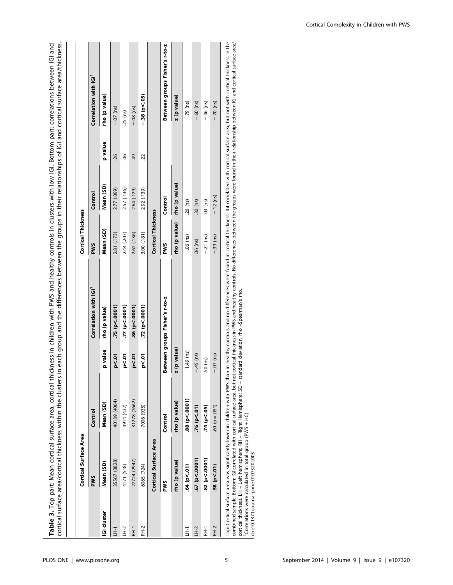| rho (p value)<br>Mean (SD)<br>2.77 (.099)<br>2.57 (.136)<br>2.92 (.139)<br>2.64 (.129)<br>Control<br>Control<br><b>Cortical Thickness</b><br>rho (p value)<br>Mean (SD)<br>3.00 (.181)<br>2.81 (.173)<br>2.44 (.207)<br>2.62 (.136)<br><b>PWS</b><br><b>PWS</b><br>Correlation with IGI <sup>1</sup><br>Between groups Fisher's r-to-z<br>$.77$ ( $p<.0001$ )<br>75 (p<.0001).<br>.86(p < 0001)<br>.72 (p < .0001)<br>rho (p value)<br>z (p value)<br>p value<br>p < 01<br>p<.01<br>p < 01<br>p<.01<br>40139 (4064)<br>31278 (2662)<br>rho (p value)<br>Mean (SD)<br>4914 (437)<br>7006 (935)<br>Control<br>Control<br><b>Cortical Surface Area</b><br>35567 (3828)<br>27724 (2947)<br>rho (p value)<br>Mean (SD)<br>4171 (518)<br>6065 (724)<br><b>PWS</b><br><b>PWS</b><br><b>IGI</b> cluster<br>RH-2<br>ΞĤ<br>FH-T<br>玉 | p value<br>-26<br>8 | Correlation with IGI <sup>1</sup><br>rho (p value)<br>$-07$ (ns)<br>25 (ns) |
|----------------------------------------------------------------------------------------------------------------------------------------------------------------------------------------------------------------------------------------------------------------------------------------------------------------------------------------------------------------------------------------------------------------------------------------------------------------------------------------------------------------------------------------------------------------------------------------------------------------------------------------------------------------------------------------------------------------------------------------------------------------------------------------------------------------------------|---------------------|-----------------------------------------------------------------------------|
|                                                                                                                                                                                                                                                                                                                                                                                                                                                                                                                                                                                                                                                                                                                                                                                                                            |                     |                                                                             |
|                                                                                                                                                                                                                                                                                                                                                                                                                                                                                                                                                                                                                                                                                                                                                                                                                            |                     |                                                                             |
|                                                                                                                                                                                                                                                                                                                                                                                                                                                                                                                                                                                                                                                                                                                                                                                                                            |                     |                                                                             |
|                                                                                                                                                                                                                                                                                                                                                                                                                                                                                                                                                                                                                                                                                                                                                                                                                            |                     |                                                                             |
|                                                                                                                                                                                                                                                                                                                                                                                                                                                                                                                                                                                                                                                                                                                                                                                                                            | 49                  | $-0.08$ (ns)                                                                |
|                                                                                                                                                                                                                                                                                                                                                                                                                                                                                                                                                                                                                                                                                                                                                                                                                            | 22                  | –.38 (p<.05)                                                                |
|                                                                                                                                                                                                                                                                                                                                                                                                                                                                                                                                                                                                                                                                                                                                                                                                                            |                     |                                                                             |
|                                                                                                                                                                                                                                                                                                                                                                                                                                                                                                                                                                                                                                                                                                                                                                                                                            |                     | Between groups Fisher's r-to-z                                              |
|                                                                                                                                                                                                                                                                                                                                                                                                                                                                                                                                                                                                                                                                                                                                                                                                                            |                     | z (p value)                                                                 |
| $.26$ (ns)<br>$-.06$ (ns)<br>$-1.49$ (ns)<br>88 (p<.0001)<br>.64 (p<.01)<br>E                                                                                                                                                                                                                                                                                                                                                                                                                                                                                                                                                                                                                                                                                                                                              |                     | $-.79$ (ns)                                                                 |
| $.30$ (ns)<br>.06 (ns)<br>$-45$ (ns)<br>.76 (p < .01)<br>$.67$ (p< $.0001$ )<br>LH-2                                                                                                                                                                                                                                                                                                                                                                                                                                                                                                                                                                                                                                                                                                                                       |                     | $-0.60$ (ns)                                                                |
| $.03$ (ns)<br>$-21$ (ns)<br>.50 (ns)<br>.74 (p<.05)<br>$.82~{\rm (p< .0001)}$<br>$F-1$                                                                                                                                                                                                                                                                                                                                                                                                                                                                                                                                                                                                                                                                                                                                     |                     | $-.06$ (ns)                                                                 |
| $-.12$ (ns)<br>$-39$ (ns)<br>$-07$ (ns)<br>$.60 (p = .051)$<br>58(p<.01)<br>RH-2                                                                                                                                                                                                                                                                                                                                                                                                                                                                                                                                                                                                                                                                                                                                           |                     | $-.70$ (ns)                                                                 |

combined sample. Bottom: ICl correlated with cortical surface area, but not cortical thickness in PWS and healthy controls. No differences between the groups were found in their relationship between ICl and cortical surfac combined sample. Bottom: IGI correlated with cortical surface area, but not cortical thickness in PWS and healthy controls. No differences between the groups were found in their relationship between IGI and cortical surfac cortical thickness. LH – Left hemisphere; RH – Right Hemisphere; SD – standard deviation, rho –Spearman's rho.

1Correlations were calculated in total group (PWS + HC)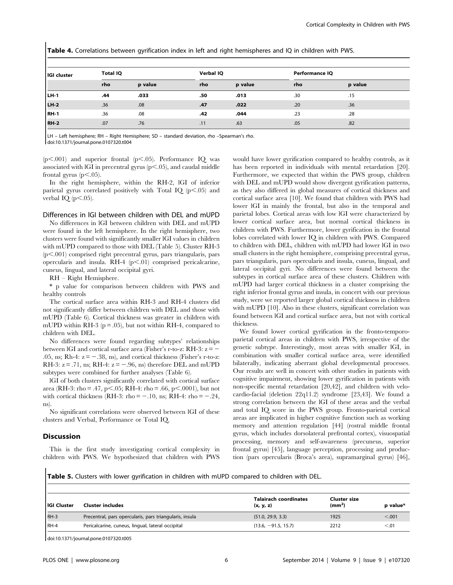| IGI cluster | <b>Total IQ</b> |         | Verbal IQ |         | Performance IQ |         |  |
|-------------|-----------------|---------|-----------|---------|----------------|---------|--|
|             | rho             | p value | rho       | p value | rho            | p value |  |
| LH-1        | .44             | .033    | .50       | .013    | .30            | .15     |  |
| LH-2        | .36             | .08     | .47       | .022    | .20            | .36     |  |
| <b>RH-1</b> | .36             | .08     | .42       | .044    | .23            | .28     |  |
| <b>RH-2</b> | .07             | .76     | .11       | .63     | .05            | .82     |  |

Table 4. Correlations between gyrification index in left and right hemispheres and IQ in children with PWS.

LH – Left hemisphere; RH – Right Hemisphere; SD – standard deviation, rho –Spearman's rho. doi:10.1371/journal.pone.0107320.t004

 $(p<.001)$  and superior frontal  $(p<.05)$ . Performance IQ was associated with IGI in precentral gyrus  $(p<.05)$ , and caudal middle frontal gyrus ( $p<.05$ ).

In the right hemisphere, within the RH-2, lGI of inferior parietal gyrus correlated positively with Total IQ  $(p<.05)$  and verbal IQ  $(p<.05)$ .

#### Differences in lGI between children with DEL and mUPD

No differences in lGI between children with DEL and mUPD were found in the left hemisphere. In the right hemisphere, two clusters were found with significantly smaller lGI values in children with mUPD compared to those with DEL (Table 5). Cluster RH-3  $(p<.001)$  comprised right precentral gyrus, pars triangularis, pars opercularis and insula. RH-4  $(p<.01)$  comprised pericalcarine, cuneus, lingual, and lateral occipital gyri.

RH – Right Hemisphere.

\* p value for comparison between children with PWS and healthy controls

The cortical surface area within RH-3 and RH-4 clusters did not significantly differ between children with DEL and those with mUPD (Table 6). Cortical thickness was greater in children with mUPD within RH-3 ( $p = .05$ ), but not within RH-4, compared to children with DEL.

No differences were found regarding subtypes' relationships between lGI and cortical surface area (Fisher's r-to-z: RH-3:  $z = -$ .05, ns; Rh-4:  $z = -.38$ , ns), and cortical thickness (Fisher's r-to-z: RH-3:  $z = .71$ , ns; RH-4:  $z = -.96$ , ns) therefore DEL and mUPD subtypes were combined for further analyses (Table 6).

lGI of both clusters significantly correlated with cortical surface area (RH-3: rho = .47, p $\lt$ .05; RH-4: rho = .66, p $\lt$ .0001), but not with cortical thickness (RH-3: rho  $= -.10$ , ns; RH-4: rho  $= -.24$ , ns).

No significant correlations were observed between lGI of these clusters and Verbal, Performance or Total IQ.

#### Discussion

This is the first study investigating cortical complexity in children with PWS. We hypothesized that children with PWS would have lower gyrification compared to healthy controls, as it has been reported in individuals with mental retardation [20]. Furthermore, we expected that within the PWS group, children with DEL and mUPD would show divergent gyrification patterns, as they also differed in global measures of cortical thickness and cortical surface area [10]. We found that children with PWS had lower lGI in mainly the frontal, but also in the temporal and parietal lobes. Cortical areas with low lGI were characterized by lower cortical surface area, but normal cortical thickness in children with PWS. Furthermore, lower gyrification in the frontal lobes correlated with lower IQ in children with PWS. Compared to children with DEL, children with mUPD had lower lGI in two small clusters in the right hemisphere, comprising precentral gyrus, pars triangularis, pars opercularis and insula, cuneus, lingual, and lateral occipital gyri. No differences were found between the subtypes in cortical surface area of these clusters. Children with mUPD had larger cortical thickness in a cluster comprising the right inferior frontal gyrus and insula, in concert with our previous study, were we reported larger global cortical thickness in children with mUPD [10]. Also in these clusters, significant correlation was found between lGI and cortical surface area, but not with cortical thickness.

We found lower cortical gyrification in the fronto-temporoparietal cortical areas in children with PWS, irrespective of the genetic subtype. Interestingly, most areas with smaller lGI, in combination with smaller cortical surface area, were identified bilaterally, indicating aberrant global developmental processes. Our results are well in concert with other studies in patients with cognitive impairment, showing lower gyrification in patients with non-specific mental retardation [20,42], and children with velocardio-facial (deletion 22q11.2) syndrome [23,43]. We found a strong correlation between the lGI of these areas and the verbal and total IQ score in the PWS group. Fronto-parietal cortical areas are implicated in higher cognitive function such as working memory and attention regulation [44] (rostral middle frontal gyrus, which includes dorsolateral prefrontal cortex), visuospatial processing, memory and self-awareness (precuneus, superior frontal gyrus) [45], language perception, processing and production (pars opercularis (Broca's area), supramarginal gyrus) [46],

Table 5. Clusters with lower gyrification in children with mUPD compared to children with DEL.

|                    |                                                         | <b>Talairach coordinates</b> | Cluster size       |          |
|--------------------|---------------------------------------------------------|------------------------------|--------------------|----------|
| <b>IGI Cluster</b> | <b>Cluster includes</b>                                 | (x, y, z)                    | (mm <sup>2</sup> ) | p value* |
| RH-3               | Precentral, pars opercularis, pars triangularis, insula | (51.0, 29.9, 3.3)            | 1925               | < .001   |
| $IRH-4$            | Pericalcarine, cuneus, lingual, lateral occipital       | $(13.6, -91.5, 15.7)$        | 2212               | < 0.01   |
|                    |                                                         |                              |                    |          |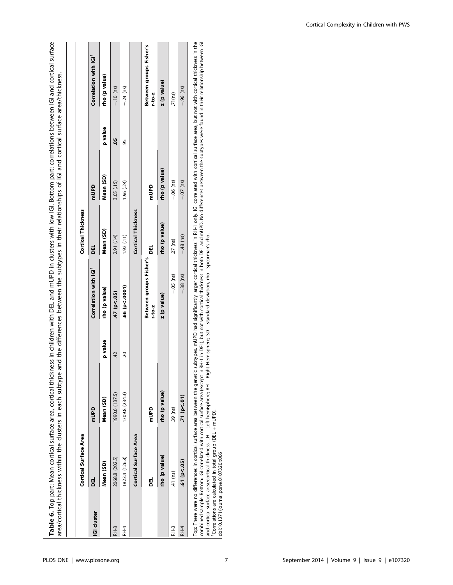| Mean (SD)<br>$-06$ (ns)<br>3.05 (.15)<br>1.96 (.24)<br>mUPD<br>mUPD<br><b>Cortical Thickness</b><br>rho (p value)<br>Mean (SD)<br>2.91 (.14)<br>1.92(11)<br>$27$ (ns)<br>ᇜ<br>ᇛ<br>Between groups Fisher's<br>Correlation with IGI <sup>1</sup><br>$-.05$ (ns)<br>.66 (p < .0001)<br>rho (p value)<br>.47 (p<.05)<br>z (p value)<br>$r-to-z$<br>p value<br>$\overline{42}$<br>$\overline{5}$<br>rho (p value)<br>1990.6 (137.5)<br>1709.8 (234.3)<br>Mean (SD)<br>.39 (ns)<br>mUPD<br>Danu<br><b>Cortical Surface Area</b><br>rho (p value)<br>1823.4 (126.8)<br>2068.8 (202.5)<br>Mean (SD)<br>.41 (ns)<br>ᇜ<br>ᇜ<br><b>GI cluster</b> | Cortical Surface Area |  | <b>Cortical Thickness</b> |               |         |                                      |
|-----------------------------------------------------------------------------------------------------------------------------------------------------------------------------------------------------------------------------------------------------------------------------------------------------------------------------------------------------------------------------------------------------------------------------------------------------------------------------------------------------------------------------------------------------------------------------------------------------------------------------------------|-----------------------|--|---------------------------|---------------|---------|--------------------------------------|
|                                                                                                                                                                                                                                                                                                                                                                                                                                                                                                                                                                                                                                         |                       |  |                           |               |         | Correlation with IGI <sup>1</sup>    |
| RH-3<br>RH-3<br>RH-4                                                                                                                                                                                                                                                                                                                                                                                                                                                                                                                                                                                                                    |                       |  |                           |               | p value | rho (p value)                        |
|                                                                                                                                                                                                                                                                                                                                                                                                                                                                                                                                                                                                                                         |                       |  |                           |               | 9       | $-.10$ (ns)                          |
|                                                                                                                                                                                                                                                                                                                                                                                                                                                                                                                                                                                                                                         |                       |  |                           |               | 95      | $-24$ (ns)                           |
|                                                                                                                                                                                                                                                                                                                                                                                                                                                                                                                                                                                                                                         |                       |  |                           |               |         |                                      |
|                                                                                                                                                                                                                                                                                                                                                                                                                                                                                                                                                                                                                                         |                       |  |                           |               |         | Between groups Fisher's<br>$-10 - 2$ |
|                                                                                                                                                                                                                                                                                                                                                                                                                                                                                                                                                                                                                                         |                       |  |                           | rho (p value) |         | z (p value)                          |
|                                                                                                                                                                                                                                                                                                                                                                                                                                                                                                                                                                                                                                         |                       |  |                           |               |         | .71(ns)                              |
| $-0.07$ (ns)<br>$-48$ (ns)<br>$-.38$ (ns)<br>.71 (p < .01)<br>.61 (p < .05)<br>RH-4                                                                                                                                                                                                                                                                                                                                                                                                                                                                                                                                                     |                       |  |                           |               |         | $-.96$ (ns)                          |

Table 6. Top part: Mean cortical surface area, cortical thickness in children with DEL and mUPD in clusters with low lGI. Bottom part: correlations between lGI and cortical surface

Table 6. Top part: Mean cortical surface area, cortical thickness in children with DEL and mUPD in clusters with low IGI. Bottom part: correlations between IGI and cortical surface

Top: There were no differences in cortical surface area between the genetic subtypes. mUPD had significantly larger cortical thickness in RH-1 only. ICI correlated with cortical surface area, but not with cortical thicknes Top: There were no differences in cortical surface area between the genetic subtypes. mUPD had significantly larger cortical thickness in RH-1 only. IGI corrical with cortical surface area, but not with cortical thickness combined sample. Bottom: IGI correlated with cortical surface area (except in RH-1 in DEL), but not with cortical thickness in both DEL and mUPD. No differences between the subtypes were found in their relationship between and cortical surface area/cortical thickness. LH – Left hemisphere; RH – Right Hemisphere; SD – standard deviation, rho –Spearman's rho. 1Correlations are calculated in total group (DEL + mUPD).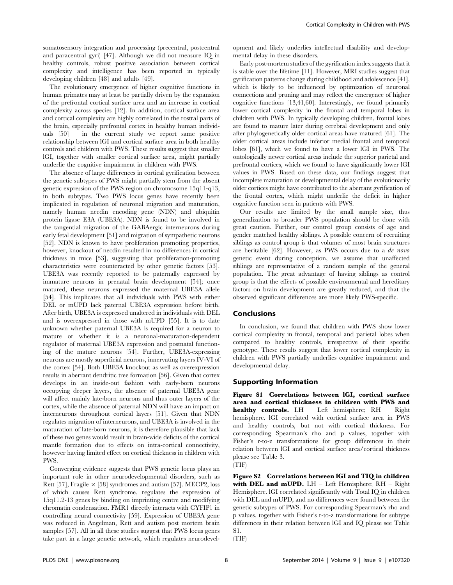somatosensory integration and processing (precentral, postcentral and paracentral gyri) [47]. Although we did not measure IQ in healthy controls, robust positive association between cortical complexity and intelligence has been reported in typically developing children [48] and adults [49].

The evolutionary emergence of higher cognitive functions in human primates may at least be partially driven by the expansion of the prefrontal cortical surface area and an increase in cortical complexity across species [12]. In addition, cortical surface area and cortical complexity are highly correlated in the rostral parts of the brain, especially prefrontal cortex in healthy human individuals [50] – in the current study we report same positive relationship between lGI and cortical surface area in both healthy controls and children with PWS. These results suggest that smaller lGI, together with smaller cortical surface area, might partially underlie the cognitive impairment in children with PWS.

The absence of large differences in cortical gyrification between the genetic subtypes of PWS might partially stem from the absent genetic expression of the PWS region on chromosome 15q11-q13, in both subtypes. Two PWS locus genes have recently been implicated in regulation of neuronal migration and maturation, namely human necdin encoding gene (NDN) and ubiquitin protein ligase E3A (UBE3A). NDN is found to be involved in the tangential migration of the GABAergic interneurons during early fetal development [51] and migration of sympathetic neurons [52]. NDN is known to have proliferation promoting properties, however, knockout of necdin resulted in no differences in cortical thickness in mice [53], suggesting that proliferation-promoting characteristics were counteracted by other genetic factors [53]. UBE3A was recently reported to be paternally expressed by immature neurons in prenatal brain development [54]; once matured, these neurons expressed the maternal UBE3A allele [54]. This implicates that all individuals with PWS with either DEL or mUPD lack paternal UBE3A expression before birth. After birth, UBE3A is expressed unaltered in individuals with DEL and is overexpressed in those with mUPD [55]. It is to date unknown whether paternal UBE3A is required for a neuron to mature or whether it is a neuronal-maturation-dependent regulator of maternal UBE3A expression and postnatal functioning of the mature neurons [54]. Further, UBE3A-expressing neurons are mostly superficial neurons, innervating layers IV-VI of the cortex [54]. Both UBE3A knockout as well as overexpression results in aberrant dendritic tree formation [56]. Given that cortex develops in an inside-out fashion with early-born neurons occupying deeper layers, the absence of paternal UBE3A gene will affect mainly late-born neurons and thus outer layers of the cortex, while the absence of paternal NDN will have an impact on interneurons throughout cortical layers [51]. Given that NDN regulates migration of interneurons, and UBE3A is involved in the maturation of late-born neurons, it is therefore plausible that lack of these two genes would result in brain-wide deficits of the cortical mantle formation due to effects on intra-cortical connectivity, however having limited effect on cortical thickness in children with PWS.

Converging evidence suggests that PWS genetic locus plays an important role in other neurodevelopmental disorders, such as Rett [57], Fragile  $\times$  [58] syndromes and autism [57]. MECP2, loss of which causes Rett syndrome, regulates the expression of 15q11.2-13 genes by binding on imprinting centre and modifying chromatin condensation. FMR1 directly interacts with CYFIP1 in controlling neural connectivity [59]. Expression of UBE3A gene was reduced in Angelman, Rett and autism post mortem brain samples [57]. All in all these studies suggest that PWS locus genes take part in a large genetic network, which regulates neurodevelopment and likely underlies intellectual disability and developmental delay in these disorders.

Early post-mortem studies of the gyrification index suggests that it is stable over the lifetime [11]. However, MRI studies suggest that gyrification patterns change during childhood and adolescence [41], which is likely to be influenced by optimization of neuronal connections and pruning and may reflect the emergence of higher cognitive functions [13,41,60]. Interestingly, we found primarily lower cortical complexity in the frontal and temporal lobes in children with PWS. In typically developing children, frontal lobes are found to mature later during cerebral development and only after phylogenetically older cortical areas have matured [61]. The older cortical areas include inferior medial frontal and temporal lobes [61], which we found to have a lower lGI in PWS. The ontologically newer cortical areas include the superior parietal and prefrontal cortices, which we found to have significantly lower lGI values in PWS. Based on these data, our findings suggest that incomplete maturation or developmental delay of the evolutionarily older cortices might have contributed to the aberrant gyrification of the frontal cortex, which might underlie the deficit in higher cognitive function seen in patients with PWS.

Our results are limited by the small sample size, thus generalization to broader PWS population should be done with great caution. Further, our control group consists of age and gender matched healthy siblings. A possible concern of recruiting siblings as control group is that volumes of most brain structures are heritable [62]. However, as PWS occurs due to a de novo genetic event during conception, we assume that unaffected siblings are representative of a random sample of the general population. The great advantage of having siblings as control group is that the effects of possible environmental and hereditary factors on brain development are greatly reduced, and that the observed significant differences are more likely PWS-specific.

## Conclusions

In conclusion, we found that children with PWS show lower cortical complexity in frontal, temporal and parietal lobes when compared to healthy controls, irrespective of their specific genotype. These results suggest that lower cortical complexity in children with PWS partially underlies cognitive impairment and developmental delay.

#### Supporting Information

Figure S1 Correlations between lGI, cortical surface area and cortical thickness in children with PWS and healthy controls. LH – Left hemisphere; RH – Right hemisphere. lGI correlated with cortical surface area in PWS and healthy controls, but not with cortical thickness. For corresponding Spearman's rho and p values, together with Fisher's r-to-z transformations for group differences in their relation between lGI and cortical surface area/cortical thickness please see Table 3.

(TIF)

Figure S2 Correlations between lGI and TIQ in children with DEL and mUPD. LH - Left Hemisphere; RH - Right Hemisphere. lGI correlated significantly with Total IQ in children with DEL and mUPD, and no differences were found between the genetic subtypes of PWS. For corresponding Spearman's rho and p values, together with Fisher's r-to-z transformations for subtype differences in their relation between lGI and IQ please see Table S1.

(TIF)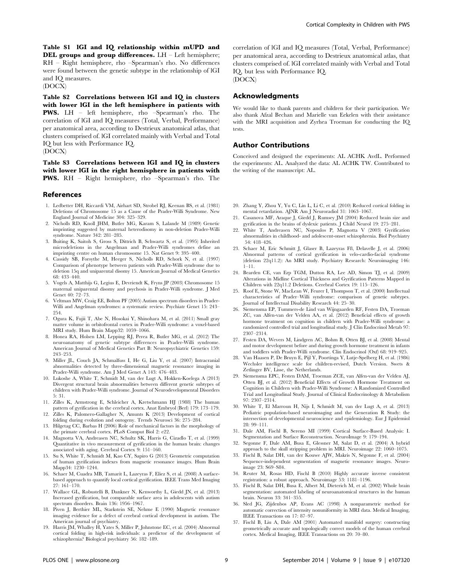Table S1 lGI and IQ relationship within mUPD and DEL groups and group differences. LH - Left hemisphere; RH – Right hemisphere, rho –Spearman's rho. No differences were found between the genetic subtype in the relationship of lGI and IQ measures.

(DOCX)

Table S2 Correlations between lGI and IQ in clusters with lower lGI in the left hemisphere in patients with PWS. LH – left hemisphere, rho –Spearman's rho. The correlation of lGI and IQ measures (Total, Verbal, Performance) per anatomical area, according to Destrieux anatomical atlas, that clusters comprised of. lGI correlated mainly with Verbal and Total IQ but less with Performance IQ. (DOCX)

Table S3 Correlations between lGI and IQ in clusters with lower lGI in the right hemisphere in patients with PWS. RH – Right hemisphere, rho –Spearman's rho. The

#### References

- 1. Ledbetter DH, Riccardi VM, Airhart SD, Strobel RJ, Keenan BS, et al. (1981) Deletions of Chromosome 15 as a Cause of the Prader-Willi Syndrome. New England Journal of Medicine 304: 325–329.
- 2. Nicholls RD, Knoll JHM, Butler MG, Karam S, Lalande M (1989) Genetic imprinting suggested by maternal heterodisomy in non-deletion Prader-Willi syndrome. Nature 342: 281–285.
- 3. Buiting K, Saitoh S, Gross S, Dittrich B, Schwartz S, et al. (1995) Inherited microdeletions in the Angelman and Prader-Willi syndromes define an imprinting centre on human chromosome 15. Nat Genet 9: 395–400.
- 4. Cassidy SB, Forsythe M, Heeger S, Nicholls RD, Schork N, et al. (1997) Comparison of phenotype between patients with Prader-Willi syndrome due to deletion 15q and uniparental disomy 15. American Journal of Medical Genetics 68: 433–440.
- 5. Vogels A, Matthijs G, Legius E, Devriendt K, Fryns JP (2003) Chromosome 15 maternal uniparental disomy and psychosis in Prader-Willi syndrome. J Med Genet 40: 72–73.
- 6. Veltman MW, Craig EE, Bolton PF (2005) Autism spectrum disorders in Prader-Willi and Angelman syndromes: a systematic review. Psychiatr Genet 15: 243– 254.
- 7. Ogura K, Fujii T, Abe N, Hosokai Y, Shinohara M, et al. (2011) Small gray matter volume in orbitofrontal cortex in Prader-Willi syndrome: a voxel-based MRI study. Hum Brain Mapp32: 1059–1066.
- 8. Honea RA, Holsen LM, Lepping RJ, Perea R, Butler MG, et al. (2012) The neuroanatomy of genetic subtype differences in Prader-Willi syndrome. American Journal of Medical Genetics Part B: Neuropsychiatric Genetics 159: 243–253.
- 9. Miller JL, Couch JA, Schmalfuss I, He G, Liu Y, et al. (2007) Intracranial abnormalities detected by three-dimensional magnetic resonance imaging in Prader-Willi syndrome. Am J Med Genet A 143: 476–483.
- Lukoshe A, White T, Schmidt M, van der Lugt A, Hokken-Koelega A (2013) Divergent structural brain abnormalities between different genetic subtypes of children with Prader-Willi syndrome. Journal of Neurodevelopmental Disorders 5: 31.
- 11. Zilles K, Armstrong E, Schleicher A, Kretschmann HJ (1988) The human pattern of gyrification in the cerebral cortex. Anat Embryol (Berl) 179: 173–179.
- 12. Zilles K, Palomero-Gallagher N, Amunts K (2013) Development of cortical folding during evolution and ontogeny. Trends Neurosci 36: 275–284. 13. Hilgetag CC, Barbas H (2006) Role of mechanical factors in the morphology of
- the primate cerebral cortex. PLoS Comput Biol 2: e22.
- 14. Magnotta VA, Andreasen NC, Schultz SK, Harris G, Cizadlo T, et al. (1999) Quantitative in vivo measurement of gyrification in the human brain: changes associated with aging. Cerebral Cortex 9: 151–160.
- 15. Su S, White T, Schmidt M, Kao CY, Sapiro G (2013) Geometric computation of human gyrification indexes from magnetic resonance images. Hum Brain Mapp34: 1230–1244.
- 16. Schaer M, Cuadra MB, Tamarit L, Lazeyras F, Eliez S, et al. (2008) A surfacebased approach to quantify local cortical gyrification. IEEE Trans Med Imaging 27: 161–170.
- 17. Wallace GL, Robustelli B, Dankner N, Kenworthy L, Giedd JN, et al. (2013) Increased gyrification, but comparable surface area in adolescents with autism spectrum disorders. Brain 136: 1956–1967.
- 18. Piven J, Berthier ML, Starkstein SE, Nehme E (1990) Magnetic resonance imaging evidence for a defect of cerebral cortical development in autism. The American journal of psychiatry.
- 19. Harris JM, Whalley H, Yates S, Miller P, Johnstone EC, et al. (2004) Abnormal cortical folding in high-risk individuals: a predictor of the development of schizophrenia? Biological psychiatry 56: 182–189.

correlation of lGI and IQ measures (Total, Verbal, Performance) per anatomical area, according to Destrieux anatomical atlas, that clusters comprised of. lGI correlated mainly with Verbal and Total IQ, but less with Performance IQ. (DOCX)

#### Acknowledgments

We would like to thank parents and children for their participation. We also thank Afzal Bechan and Marielle van Eekelen with their assistance with the MRI acquisition and Zyrhea Troeman for conducting the IQ tests.

## Author Contributions

Conceived and designed the experiments: AL ACHK AvdL. Performed the experiments: AL. Analyzed the data: AL ACHK TW. Contributed to the writing of the manuscript: AL.

- 20. Zhang Y, Zhou Y, Yu C, Lin L, Li C, et al. (2010) Reduced cortical folding in mental retardation. AJNR Am J Neuroradiol 31: 1063–1067.
- 21. Casanova MF, Araque J, Giedd J, Rumsey JM (2004) Reduced brain size and gyrification in the brains of dyslexic patients. J Child Neurol 19: 275–281.
- 22. White T, Andreasen NC, Nopoulos P, Magnotta V (2003) Gyrification abnormalities in childhood- and adolescent-onset schizophrenia. Biol Psychiatry 54: 418–426.
- 23. Schaer M, Eric Schmitt J, Glaser B, Lazeyras Fß, Delavelle J, et al. (2006) Abnormal patterns of cortical gyrification in velo-cardio-facial syndrome (deletion 22q11.2): An MRI study. Psychiatry Research: Neuroimaging 146: 1–11.
- 24. Bearden CE, van Erp TGM, Dutton RA, Lee AD, Simon TJ, et al. (2009) Alterations in Midline Cortical Thickness and Gyrification Patterns Mapped in Children with 22q11.2 Deletions. Cerebral Cortex 19: 115–126.
- 25. Roof E, Stone W, MacLean W, Feurer I, Thompson T, et al. (2000) Intellectual characteristics of Prader–Willi syndrome: comparison of genetic subtypes. Journal of Intellectual Disability Research 44: 25–30.
- 26. Siemensma EP, Tummers-de Lind van Wijngaarden RF, Festen DA, Troeman ZC, van Alfen-van der Velden AA, et al. (2012) Beneficial effects of growth hormone treatment on cognition in children with Prader-Willi syndrome: a randomized controlled trial and longitudinal study. J Clin Endocrinol Metab 97: 2307–2314.
- 27. Festen DA, Wevers M, Lindgren AC, Bohm B, Otten BJ, et al. (2008) Mental and motor development before and during growth hormone treatment in infants and toddlers with Prader-Willi syndrome. Clin Endocrinol (Oxf) 68: 919–925.
- 28. Van Haasen P, De Bruyn E, Pijl Y, Poortinga Y, Lutje-Spelberg H, et al. (1986) Wechsler intelligence scale for children-revised, Dutch Version. Swets & Zetlinger BV, Lisse, the Netherlands.
- 29. Siemensma EPC, Festen DAM, Troeman ZCE, van Alfen-van der Velden AJ, Otten BJ, et al. (2012) Beneficial Effects of Growth Hormone Treatment on Cognition in Children with Prader-Willi Syndrome: A Randomized Controlled Trial and Longitudinal Study. Journal of Clinical Endocrinology & Metabolism 97: 2307–2314.
- 30. White T, El Marroun H, Nijs I, Schmidt M, van der Lugt A, et al. (2013) Pediatric population-based neuroimaging and the Generation R Study: the intersection of developmental neuroscience and epidemiology. Eur J Epidemiol 28: 99–111.
- 31. Dale AM, Fischl B, Sereno MI (1999) Cortical Surface-Based Analysis: I. Segmentation and Surface Reconstruction. NeuroImage 9: 179–194.
- 32. Segonne F, Dale AM, Busa E, Glessner M, Salat D, et al. (2004) A hybrid approach to the skull stripping problem in MRI. Neuroimage 22: 1060–1075.
- 33. Fischl B, Salat DH, van der Kouwe AJW, Makris N, Ségonne F, et al. (2004) Sequence-independent segmentation of magnetic resonance images. Neuroimage 23: S69–S84.
- 34. Reuter M, Rosas HD, Fischl B (2010) Highly accurate inverse consistent registration: a robust approach. Neuroimage 53: 1181–1196.
- 35. Fischl B, Salat DH, Busa E, Albert M, Dieterich M, et al. (2002) Whole brain segmentation: automated labeling of neuroanatomical structures in the human brain. Neuron 33: 341–355.
- 36. Sled JG, Zijdenbos AP, Evans AC (1998) A nonparametric method for automatic correction of intensity nonuniformity in MRI data. Medical Imaging, IEEE Transactions on 17: 87–97.
- 37. Fischl B, Liu A, Dale AM (2001) Automated manifold surgery: constructing geometrically accurate and topologically correct models of the human cerebral cortex. Medical Imaging, IEEE Transactions on 20: 70–80.